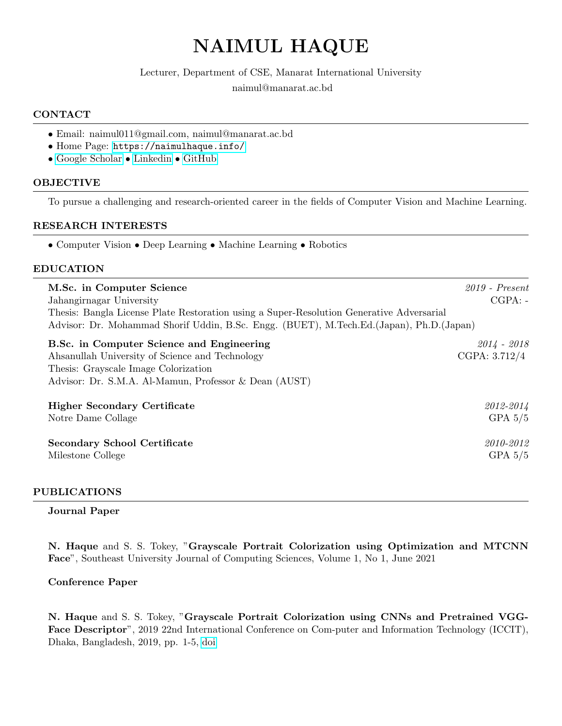# NAIMUL HAQUE

### Lecturer, Department of CSE, Manarat International University

naimul@manarat.ac.bd

### CONTACT

- Email: naimul011@gmail.com, naimul@manarat.ac.bd
- Home Page: <https://naimulhaque.info/>
- [Google Scholar](https://scholar.google.com/citations?user=rN_DhAYAAAAJ&hl=en&authuser=1) [Linkedin](https://www.linkedin.com/in/naimulhaque/) [GitHub](https://github.com/naimul011)

### **OBJECTIVE**

To pursue a challenging and research-oriented career in the fields of Computer Vision and Machine Learning.

### RESEARCH INTERESTS

• Computer Vision • Deep Learning • Machine Learning • Robotics

### EDUCATION

| M.Sc. in Computer Science<br>Jahangirnagar University<br>Thesis: Bangla License Plate Restoration using a Super-Resolution Generative Adversarial<br>Advisor: Dr. Mohammad Shorif Uddin, B.Sc. Engg. (BUET), M.Tech.Ed.(Japan), Ph.D.(Japan) | $2019$ - Present<br>$CGPA: -$  |
|----------------------------------------------------------------------------------------------------------------------------------------------------------------------------------------------------------------------------------------------|--------------------------------|
| B.Sc. in Computer Science and Engineering<br>Ahsanullah University of Science and Technology<br>Thesis: Grayscale Image Colorization<br>Advisor: Dr. S.M.A. Al-Mamun, Professor & Dean (AUST)                                                | $2014 - 2018$<br>CGPA: 3.712/4 |
| <b>Higher Secondary Certificate</b>                                                                                                                                                                                                          | 2012-2014                      |
| Notre Dame Collage                                                                                                                                                                                                                           | GPA $5/5$                      |
| <b>Secondary School Certificate</b>                                                                                                                                                                                                          | 2010-2012                      |
| Milestone College                                                                                                                                                                                                                            | GPA $5/5$                      |

### PUBLICATIONS

### Journal Paper

N. Haque and S. S. Tokey, "Grayscale Portrait Colorization using Optimization and MTCNN Face", Southeast University Journal of Computing Sciences, Volume 1, No 1, June 2021

### Conference Paper

N. Haque and S. S. Tokey, "Grayscale Portrait Colorization using CNNs and Pretrained VGG-Face Descriptor", 2019 22nd International Conference on Com-puter and Information Technology (ICCIT), Dhaka, Bangladesh, 2019, pp. 1-5, [doi](https://ieeexplore.ieee.org/document/9038376)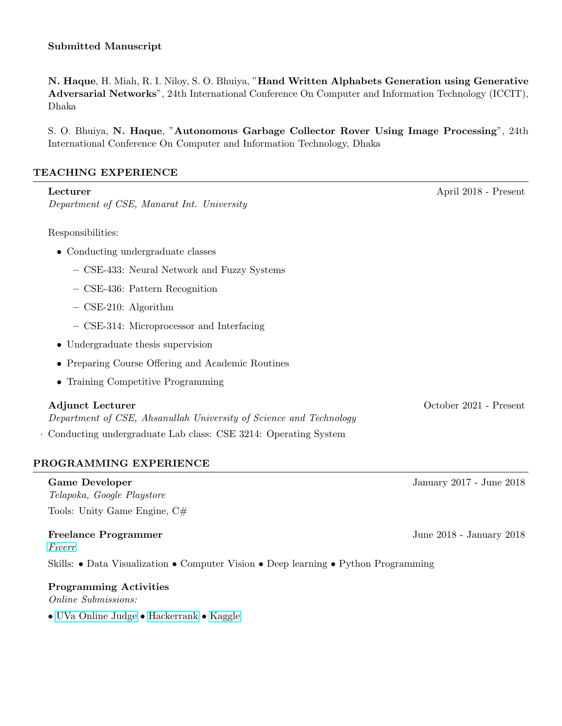N. Haque, H. Miah, R. I. Niloy, S. O. Bhuiya, "Hand Written Alphabets Generation using Generative Adversarial Networks", 24th International Conference On Computer and Information Technology (ICCIT), Dhaka

S. O. Bhuiya, N. Haque, "Autonomous Garbage Collector Rover Using Image Processing", 24th International Conference On Computer and Information Technology, Dhaka

### TEACHING EXPERIENCE

| Lecturer                                                                                      | April 2018 - Present   |
|-----------------------------------------------------------------------------------------------|------------------------|
| Department of CSE, Manarat Int. University                                                    |                        |
|                                                                                               |                        |
| Responsibilities:                                                                             |                        |
| • Conducting undergraduate classes                                                            |                        |
| - CSE-433: Neural Network and Fuzzy Systems                                                   |                        |
| - CSE-436: Pattern Recognition                                                                |                        |
| $-$ CSE-210: Algorithm                                                                        |                        |
| - CSE-314: Microprocessor and Interfacing                                                     |                        |
| • Undergraduate thesis supervision                                                            |                        |
| • Preparing Course Offering and Academic Routines                                             |                        |
| • Training Competitive Programming                                                            |                        |
| <b>Adjunct Lecturer</b><br>Department of CSE, Ahsanullah University of Science and Technology | October 2021 - Present |
| Conducting undergraduate Lab class: CSE 3214: Operating System                                |                        |

# PROGRAMMING EXPERIENCE

Game Developer January 2017 - June 2018 Telapoka, Google Playstore Tools: Unity Game Engine, C#

## Freelance Programmer **Freelance Programmer** June 2018 - January 2018

[Fiverr](https://www.fiverr.com/naimul011)

Skills: • Data Visualization • Computer Vision • Deep learning • Python Programming

### Programming Activities Online Submissions:

• [UVa Online Judge](https://uhunt.onlinejudge.org/id/673553 ) • [Hackerrank](https://www.hackerrank.com/naimulhawk) • [Kaggle](https://www.kaggle.com/naimul314)